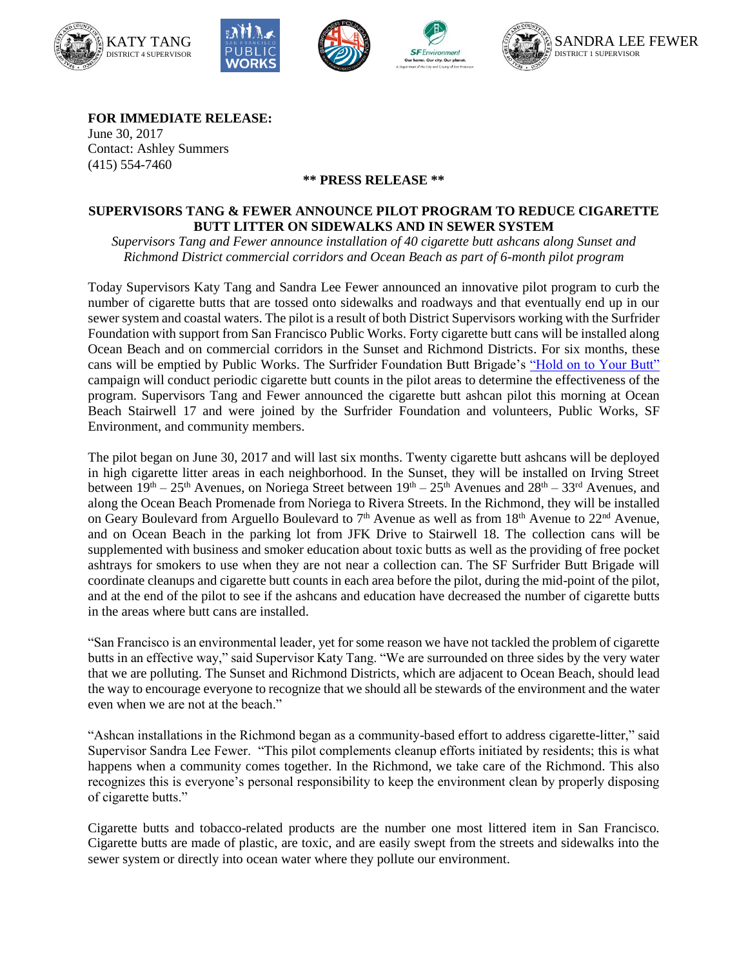

**FOR IMMEDIATE RELEASE:** June 30, 2017 Contact: Ashley Summers (415) 554-7460

## **\*\* PRESS RELEASE \*\***

## **SUPERVISORS TANG & FEWER ANNOUNCE PILOT PROGRAM TO REDUCE CIGARETTE BUTT LITTER ON SIDEWALKS AND IN SEWER SYSTEM**

*Supervisors Tang and Fewer announce installation of 40 cigarette butt ashcans along Sunset and Richmond District commercial corridors and Ocean Beach as part of 6-month pilot program*

Today Supervisors Katy Tang and Sandra Lee Fewer announced an innovative pilot program to curb the number of cigarette butts that are tossed onto sidewalks and roadways and that eventually end up in our sewer system and coastal waters. The pilot is a result of both District Supervisors working with the Surfrider Foundation with support from San Francisco Public Works. Forty cigarette butt cans will be installed along Ocean Beach and on commercial corridors in the Sunset and Richmond Districts. For six months, these cans will be emptied by Public Works. The Surfrider Foundation Butt Brigade's ["Hold on to Your Butt"](https://sf.surfrider.org/what-we-do/holdontoyourbutt/) campaign will conduct periodic cigarette butt counts in the pilot areas to determine the effectiveness of the program. Supervisors Tang and Fewer announced the cigarette butt ashcan pilot this morning at Ocean Beach Stairwell 17 and were joined by the Surfrider Foundation and volunteers, Public Works, SF Environment, and community members.

The pilot began on June 30, 2017 and will last six months. Twenty cigarette butt ashcans will be deployed in high cigarette litter areas in each neighborhood. In the Sunset, they will be installed on Irving Street between  $19^{th} - 25^{th}$  Avenues, on Noriega Street between  $19^{th} - 25^{th}$  Avenues and  $28^{th} - 33^{rd}$  Avenues, and along the Ocean Beach Promenade from Noriega to Rivera Streets. In the Richmond, they will be installed on Geary Boulevard from Arguello Boulevard to 7<sup>th</sup> Avenue as well as from 18<sup>th</sup> Avenue to 22<sup>nd</sup> Avenue, and on Ocean Beach in the parking lot from JFK Drive to Stairwell 18. The collection cans will be supplemented with business and smoker education about toxic butts as well as the providing of free pocket ashtrays for smokers to use when they are not near a collection can. The SF Surfrider Butt Brigade will coordinate cleanups and cigarette butt counts in each area before the pilot, during the mid-point of the pilot, and at the end of the pilot to see if the ashcans and education have decreased the number of cigarette butts in the areas where butt cans are installed.

"San Francisco is an environmental leader, yet for some reason we have not tackled the problem of cigarette butts in an effective way," said Supervisor Katy Tang. "We are surrounded on three sides by the very water that we are polluting. The Sunset and Richmond Districts, which are adjacent to Ocean Beach, should lead the way to encourage everyone to recognize that we should all be stewards of the environment and the water even when we are not at the beach."

"Ashcan installations in the Richmond began as a community-based effort to address cigarette-litter," said Supervisor Sandra Lee Fewer. "This pilot complements cleanup efforts initiated by residents; this is what happens when a community comes together. In the Richmond, we take care of the Richmond. This also recognizes this is everyone's personal responsibility to keep the environment clean by properly disposing of cigarette butts."

Cigarette butts and tobacco-related products are the number one most littered item in San Francisco. Cigarette butts are made of plastic, are toxic, and are easily swept from the streets and sidewalks into the sewer system or directly into ocean water where they pollute our environment.